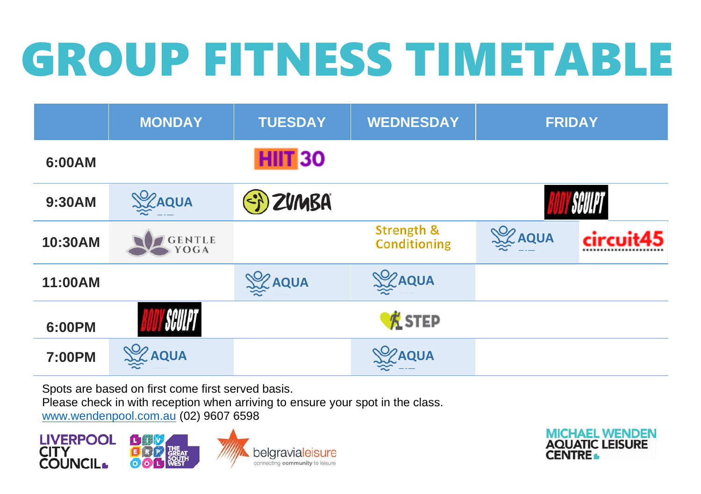## GROUP FITNESS TIMETABLE

|               | <b>MONDAY</b>         | <b>TUESDAY</b> | <b>WEDNESDAY</b>                             | <b>FRIDAY</b>  |           |
|---------------|-----------------------|----------------|----------------------------------------------|----------------|-----------|
| 6:00AM        |                       | <b>HIIT 30</b> |                                              |                |           |
| 9:30AM        | <b>SIZAQUA</b>        | EX ZUMBA       |                                              |                |           |
| 10:30AM       | <b>GENTLE</b><br>YOGA |                | <b>Strength &amp;</b><br><b>Conditioning</b> | <b>SE AQUA</b> | circuit45 |
| 11:00AM       |                       | <b>SE AQUA</b> | <b>SEZAQUA</b>                               |                |           |
| 6:00PM        | SCULPT                |                | KSTEP                                        |                |           |
| <b>7:00PM</b> | <b>SEZ AQUA</b>       |                | <b>SZAQUA</b>                                |                |           |

Spots are based on first come first served basis.

Please check in with reception when arriving to ensure your spot in the class.

[www.wendenpool.com.au](http://www.wendenpool.com.au/) (02) 9607 6598